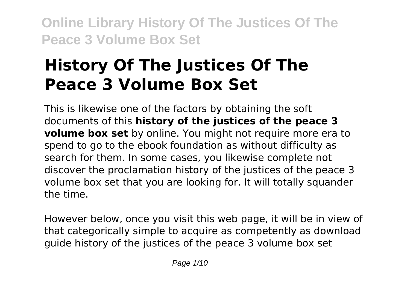# **History Of The Justices Of The Peace 3 Volume Box Set**

This is likewise one of the factors by obtaining the soft documents of this **history of the justices of the peace 3 volume box set** by online. You might not require more era to spend to go to the ebook foundation as without difficulty as search for them. In some cases, you likewise complete not discover the proclamation history of the justices of the peace 3 volume box set that you are looking for. It will totally squander the time.

However below, once you visit this web page, it will be in view of that categorically simple to acquire as competently as download guide history of the justices of the peace 3 volume box set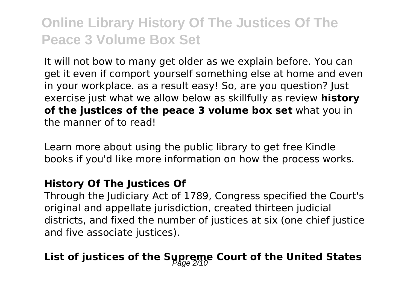It will not bow to many get older as we explain before. You can get it even if comport yourself something else at home and even in your workplace. as a result easy! So, are you question? Just exercise just what we allow below as skillfully as review **history of the justices of the peace 3 volume box set** what you in the manner of to read!

Learn more about using the public library to get free Kindle books if you'd like more information on how the process works.

#### **History Of The Justices Of**

Through the Judiciary Act of 1789, Congress specified the Court's original and appellate jurisdiction, created thirteen judicial districts, and fixed the number of justices at six (one chief justice and five associate justices).

### List of justices of the Supreme Court of the United States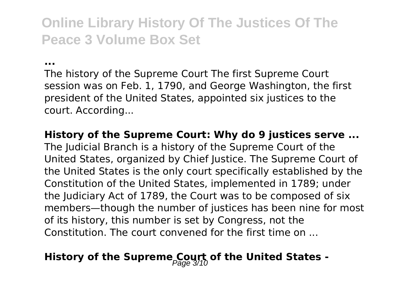**...**

The history of the Supreme Court The first Supreme Court session was on Feb. 1, 1790, and George Washington, the first president of the United States, appointed six justices to the court. According...

**History of the Supreme Court: Why do 9 justices serve ...**

The Judicial Branch is a history of the Supreme Court of the United States, organized by Chief Justice. The Supreme Court of the United States is the only court specifically established by the Constitution of the United States, implemented in 1789; under the Judiciary Act of 1789, the Court was to be composed of six members—though the number of justices has been nine for most of its history, this number is set by Congress, not the Constitution. The court convened for the first time on ...

### **History of the Supreme Court of the United States -**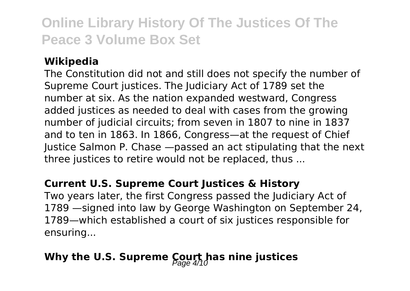### **Wikipedia**

The Constitution did not and still does not specify the number of Supreme Court justices. The Judiciary Act of 1789 set the number at six. As the nation expanded westward, Congress added justices as needed to deal with cases from the growing number of judicial circuits; from seven in 1807 to nine in 1837 and to ten in 1863. In 1866, Congress—at the request of Chief Justice Salmon P. Chase —passed an act stipulating that the next three justices to retire would not be replaced, thus ...

#### **Current U.S. Supreme Court Justices & History**

Two years later, the first Congress passed the Judiciary Act of 1789 —signed into law by George Washington on September 24, 1789—which established a court of six justices responsible for ensuring...

### Why the U.S. Supreme Court has nine justices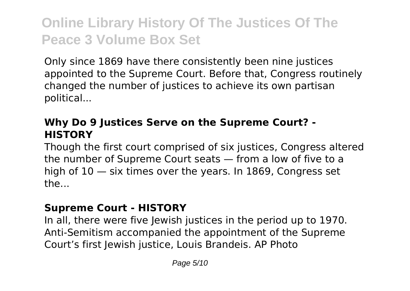Only since 1869 have there consistently been nine justices appointed to the Supreme Court. Before that, Congress routinely changed the number of justices to achieve its own partisan political...

### **Why Do 9 Justices Serve on the Supreme Court? - HISTORY**

Though the first court comprised of six justices, Congress altered the number of Supreme Court seats — from a low of five to a high of 10 — six times over the years. In 1869, Congress set the...

#### **Supreme Court - HISTORY**

In all, there were five Jewish justices in the period up to 1970. Anti-Semitism accompanied the appointment of the Supreme Court's first lewish justice, Louis Brandeis. AP Photo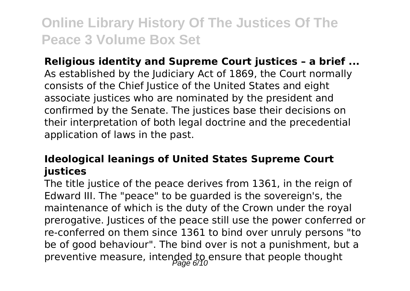**Religious identity and Supreme Court justices – a brief ...** As established by the Judiciary Act of 1869, the Court normally consists of the Chief Justice of the United States and eight associate justices who are nominated by the president and confirmed by the Senate. The justices base their decisions on their interpretation of both legal doctrine and the precedential application of laws in the past.

### **Ideological leanings of United States Supreme Court justices**

The title justice of the peace derives from 1361, in the reign of Edward III. The "peace" to be guarded is the sovereign's, the maintenance of which is the duty of the Crown under the royal prerogative. Justices of the peace still use the power conferred or re-conferred on them since 1361 to bind over unruly persons "to be of good behaviour". The bind over is not a punishment, but a preventive measure, intended to ensure that people thought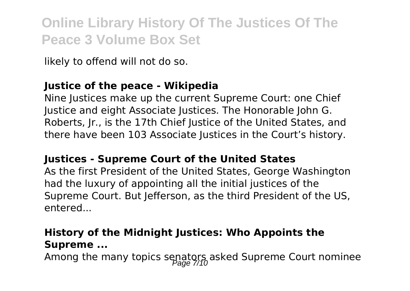likely to offend will not do so.

### **Justice of the peace - Wikipedia**

Nine Justices make up the current Supreme Court: one Chief Justice and eight Associate Justices. The Honorable John G. Roberts, Jr., is the 17th Chief Justice of the United States, and there have been 103 Associate Justices in the Court's history.

#### **Justices - Supreme Court of the United States**

As the first President of the United States, George Washington had the luxury of appointing all the initial justices of the Supreme Court. But Jefferson, as the third President of the US, entered...

### **History of the Midnight Justices: Who Appoints the Supreme ...**

Among the many topics senators asked Supreme Court nominee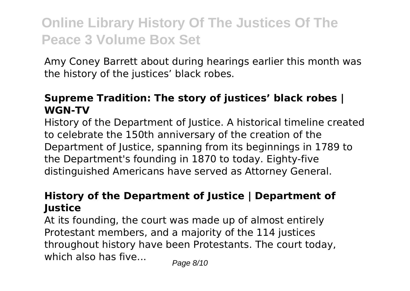Amy Coney Barrett about during hearings earlier this month was the history of the justices' black robes.

### **Supreme Tradition: The story of justices' black robes | WGN-TV**

History of the Department of Justice. A historical timeline created to celebrate the 150th anniversary of the creation of the Department of Justice, spanning from its beginnings in 1789 to the Department's founding in 1870 to today. Eighty-five distinguished Americans have served as Attorney General.

### **History of the Department of Justice | Department of Justice**

At its founding, the court was made up of almost entirely Protestant members, and a majority of the 114 justices throughout history have been Protestants. The court today, which also has five...  $_{\text{Paqe 8/10}}$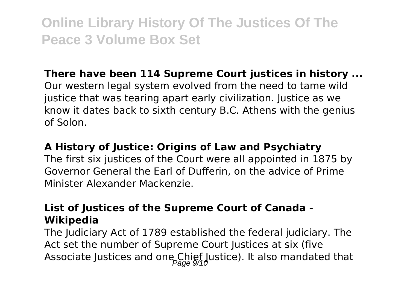### **There have been 114 Supreme Court justices in history ...**

Our western legal system evolved from the need to tame wild justice that was tearing apart early civilization. Justice as we know it dates back to sixth century B.C. Athens with the genius of Solon.

#### **A History of Justice: Origins of Law and Psychiatry**

The first six justices of the Court were all appointed in 1875 by Governor General the Earl of Dufferin, on the advice of Prime Minister Alexander Mackenzie.

### **List of Justices of the Supreme Court of Canada - Wikipedia**

The Judiciary Act of 1789 established the federal judiciary. The Act set the number of Supreme Court Justices at six (five Associate Justices and one Chief Justice). It also mandated that